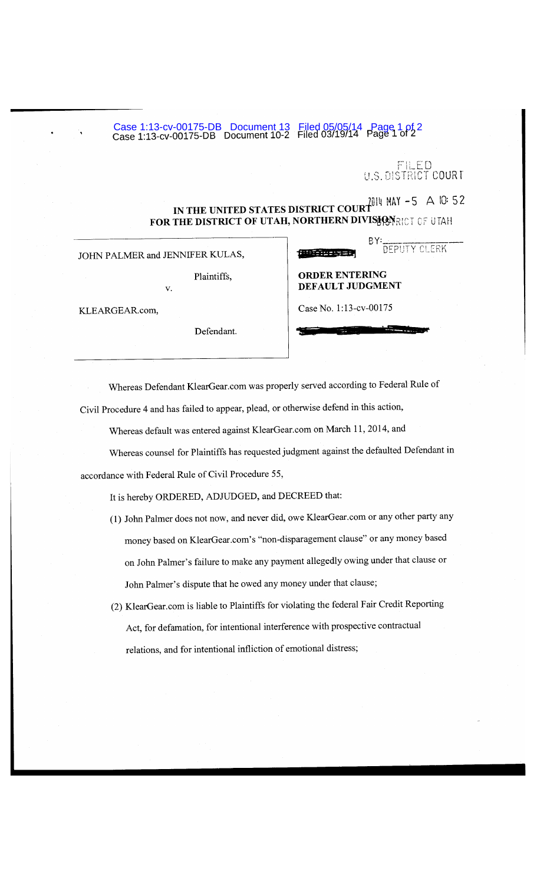Case 1:13-cv-00175-DB Document 10-2 Filed 03/19/14 Page 1 of 2 Case 1:13-cv-00175-DB Document 13 Filed 05/05/14 Page 1 of 2

FILED<br>U.S. DISTRICT COURT

IN THE UNITED STATES DISTRICT COURT<sup>2014</sup> MAY  $-5$  A 10: 52 FOR THE DISTRICT OF UTAH, NORTHERN DIVISION RICT OF UTAH

JOHN PALMER and JENNIFER KULAS,

v.

Plaintiffs,

BY: **DEPUTY CLERK** 

فوالاتبار

ORDER ENTERING DEFAULT JUDGMENT

地面在场中

KLEARGEAR.com,

Defendant.

Case No. 1: 13-cv-00175

Whereas Defendant KlearGear.com was properly served according to Federal Rule of

Civil Procedure 4 and has failed to appear, plead, or otherwise defend in this action,

Whereas default was entered against KlearGear.com on March 11, 2014, and

Whereas counsel for Plaintiffs has requested judgment against the defaulted Defendant in

accordance with Federal Rule of Civil Procedure 55,

It is hereby ORDERED, ADJUDGED, and DECREED that:

- (1) John Palmer does not now, and never did, owe KlearGear.com or any other party any money based on KlearGear.com's "non-disparagement clause" or any money based on John Palmer's failure to make any payment allegedly owing under that clause or John Palmer's dispute that he owed any money under that clause;
- (2) KlearGear.com is liable to Plaintiffs for violating the federal Fair Credit Reporting Act, for defamation, for intentional interference with prospective contractual relations, and for intentional infliction of emotional distress;